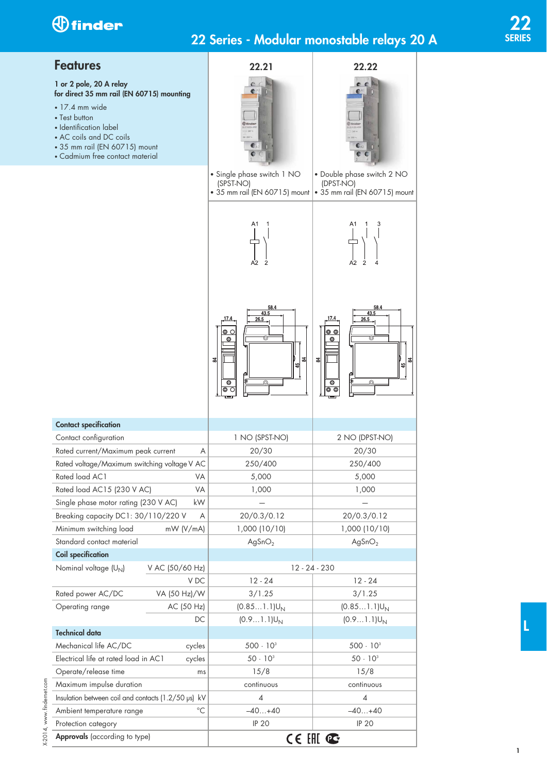

# 22 Series - Modular monostable relays 20 A

### **Features**

1 or 2 pole, 20 A relay for direct 35 mm rail (EN 60715) mounting

- 17.4 mm wide
- Test button
- Identification label
- AC coils and DC coils
- 35 mm rail (EN 60715) mount
- Cadmium free contact material



CE EHI C

 $\frac{1}{2}$ 

Approvals (according to type)

L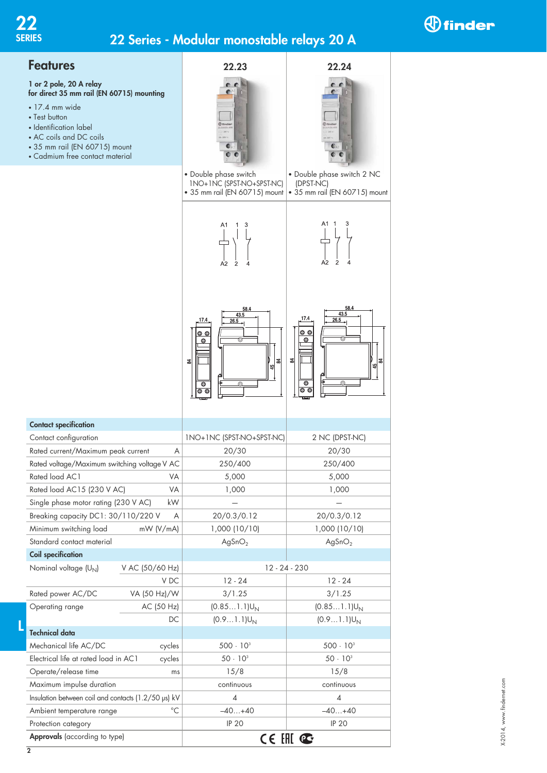

# 22 Series - Modular monostable relays 20 A

# *<u>Ofinder</u>*

1 or 2 pole, 20 A relay for direct 35 mm rail (EN 60715) mounting

- 17.4 mm wide
- Test button
- Identification label

Contact specification Contact configuration

Standard contact material

Maximum impulse duration

Approvals (according to type)

Protection category

Ambient temperature range  $^{\circ}$ C

Coil specification

Technical data

- AC coils and DC coils
- 35 mm rail (EN 60715) mount





 $-40...+40$   $-40...+40$ 

CE EHI C

IP 20 IP 20

L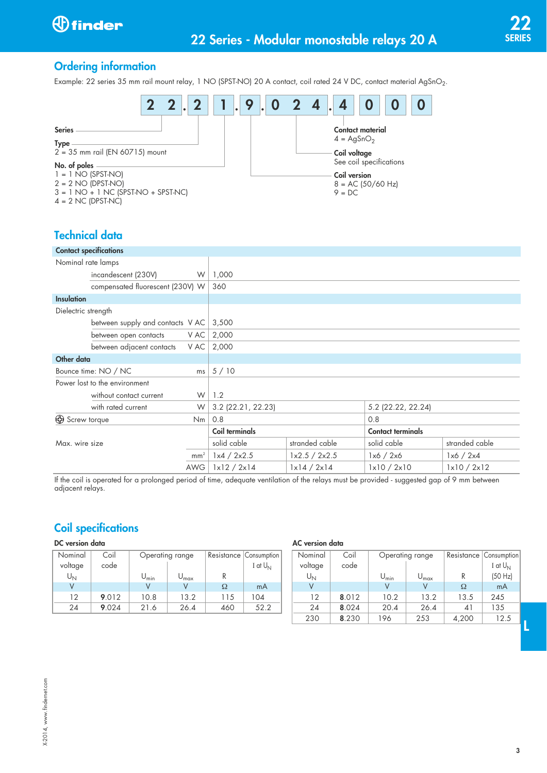*<u>Ofinder</u>* 

### Ordering information

Example: 22 series 35 mm rail mount relay, 1 NO (SPST-NO) 20 A contact, coil rated 24 V DC, contact material AgSnO<sub>2</sub>.



### Technical data

|                               | <b>Contact specifications</b>    |                    |                |                          |                |             |
|-------------------------------|----------------------------------|--------------------|----------------|--------------------------|----------------|-------------|
| Nominal rate lamps            |                                  |                    |                |                          |                |             |
|                               | incandescent (230V)              | W                  | 1,000          |                          |                |             |
|                               | compensated fluorescent (230V) W |                    | 360            |                          |                |             |
| <b>Insulation</b>             |                                  |                    |                |                          |                |             |
| Dielectric strength           |                                  |                    |                |                          |                |             |
|                               | between supply and contacts VAC  |                    | 3,500          |                          |                |             |
|                               | between open contacts            | V AC               | 2,000          |                          |                |             |
|                               | between adjacent contacts        | V AC               | 2,000          |                          |                |             |
| Other data                    |                                  |                    |                |                          |                |             |
| Bounce time: NO / NC<br>ms    |                                  |                    | 5/10           |                          |                |             |
| Power lost to the environment |                                  |                    |                |                          |                |             |
|                               | without contact current          | W                  | 1.2            |                          |                |             |
| with rated current<br>W       |                                  | 3.2 (22.21, 22.23) |                | 5.2 (22.22, 22.24)       |                |             |
| Screw torque<br>Nm            |                                  | 0.8<br>0.8         |                |                          |                |             |
| Max. wire size                |                                  | Coil terminals     |                | <b>Contact terminals</b> |                |             |
|                               |                                  | solid cable        | stranded cable | solid cable              | stranded cable |             |
|                               |                                  | mm <sup>2</sup>    | 1x4 / 2x2.5    | 1x2.5 / 2x2.5            | 1x6 / 2x6      | 1x6 / 2x4   |
|                               |                                  | <b>AWG</b>         | 1x12 / 2x14    | 1x14 / 2x14              | 1x10 / 2x10    | 1x10 / 2x12 |

If the coil is operated for a prolonged period of time, adequate ventilation of the relays must be provided - suggested gap of 9 mm between adjacent relays.

### Coil specifications

DC version data

| Nominal | Coil  |                             | Operating range     | Resistance   C | Consumption          | Nominal        | Coil  |                     | Operating range       | Resistance Consumption |                     |
|---------|-------|-----------------------------|---------------------|----------------|----------------------|----------------|-------|---------------------|-----------------------|------------------------|---------------------|
| voltage | code  |                             |                     |                | I at U <sub>NI</sub> | voltage        | code  |                     |                       |                        | I at U <sub>N</sub> |
| $U_N$   |       | $\mathsf{U}_{\mathsf{min}}$ | $\cup_{\text{max}}$ |                |                      | U <sub>Ν</sub> |       | $\cup_{\text{min}}$ | $\cup_{\mathsf{max}}$ |                        | (50 Hz)             |
|         |       |                             |                     | Ω              | mA                   |                |       |                     |                       | Ω                      | mA                  |
| 12      | 9.012 | 10.8                        | 13.2                | l 15           | 04                   | 12             | 8.012 | 10.2                | 13.2                  | 13.5                   | 245                 |
| 24      | 9.024 | 21.6                        | 26.4                | 460            | 52.2                 | 24             | 8.024 | 20.4                | 26.4                  | $4^1$                  | 135                 |
|         |       |                             |                     |                |                      | 230            | 8.230 | 196                 | 253                   | 4.200                  | 12.5                |

AC version data